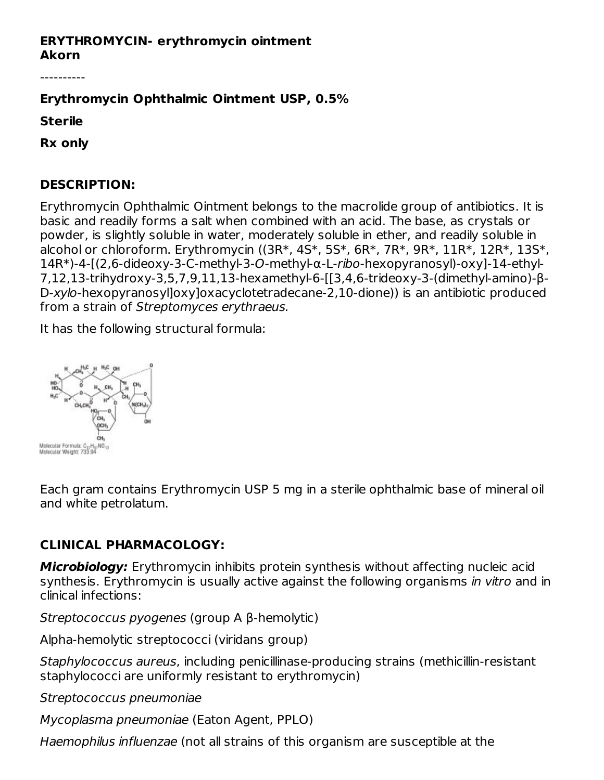#### **ERYTHROMYCIN- erythromycin ointment Akorn**

----------

#### **Erythromycin Ophthalmic Ointment USP, 0.5%**

**Sterile**

**Rx only**

#### **DESCRIPTION:**

Erythromycin Ophthalmic Ointment belongs to the macrolide group of antibiotics. It is basic and readily forms a salt when combined with an acid. The base, as crystals or powder, is slightly soluble in water, moderately soluble in ether, and readily soluble in alcohol or chloroform. Erythromycin ((3R\*, 4S\*, 5S\*, 6R\*, 7R\*, 9R\*, 11R\*, 12R\*, 13S\*, 14R\*)-4-[(2,6-dideoxy-3-C-methyl-3-O-methyl-α-L-ribo-hexopyranosyl)-oxy]-14-ethyl-7,12,13-trihydroxy-3,5,7,9,11,13-hexamethyl-6-[[3,4,6-trideoxy-3-(dimethyl-amino)-β-D-xylo-hexopyranosyl]oxy]oxacyclotetradecane-2,10-dione)) is an antibiotic produced from a strain of Streptomyces erythraeus.

It has the following structural formula:



Each gram contains Erythromycin USP 5 mg in a sterile ophthalmic base of mineral oil and white petrolatum.

# **CLINICAL PHARMACOLOGY:**

**Microbiology:** Erythromycin inhibits protein synthesis without affecting nucleic acid synthesis. Erythromycin is usually active against the following organisms in vitro and in clinical infections:

Streptococcus pyogenes (group A β-hemolytic)

Alpha-hemolytic streptococci (viridans group)

Staphylococcus aureus, including penicillinase-producing strains (methicillin-resistant staphylococci are uniformly resistant to erythromycin)

Streptococcus pneumoniae

Mycoplasma pneumoniae (Eaton Agent, PPLO)

Haemophilus influenzae (not all strains of this organism are susceptible at the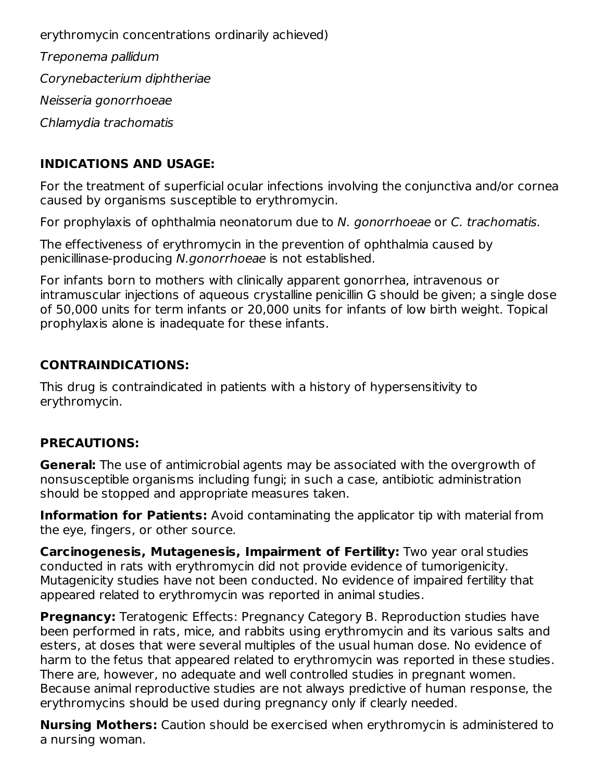erythromycin concentrations ordinarily achieved) Treponema pallidum Corynebacterium diphtheriae Neisseria gonorrhoeae Chlamydia trachomatis

# **INDICATIONS AND USAGE:**

For the treatment of superficial ocular infections involving the conjunctiva and/or cornea caused by organisms susceptible to erythromycin.

For prophylaxis of ophthalmia neonatorum due to N. gonorrhoeae or C. trachomatis.

The effectiveness of erythromycin in the prevention of ophthalmia caused by penicillinase-producing N.gonorrhoeae is not established.

For infants born to mothers with clinically apparent gonorrhea, intravenous or intramuscular injections of aqueous crystalline penicillin G should be given; a single dose of 50,000 units for term infants or 20,000 units for infants of low birth weight. Topical prophylaxis alone is inadequate for these infants.

### **CONTRAINDICATIONS:**

This drug is contraindicated in patients with a history of hypersensitivity to erythromycin.

# **PRECAUTIONS:**

**General:** The use of antimicrobial agents may be associated with the overgrowth of nonsusceptible organisms including fungi; in such a case, antibiotic administration should be stopped and appropriate measures taken.

**Information for Patients:** Avoid contaminating the applicator tip with material from the eye, fingers, or other source.

**Carcinogenesis, Mutagenesis, Impairment of Fertility:** Two year oral studies conducted in rats with erythromycin did not provide evidence of tumorigenicity. Mutagenicity studies have not been conducted. No evidence of impaired fertility that appeared related to erythromycin was reported in animal studies.

**Pregnancy:** Teratogenic Effects: Pregnancy Category B. Reproduction studies have been performed in rats, mice, and rabbits using erythromycin and its various salts and esters, at doses that were several multiples of the usual human dose. No evidence of harm to the fetus that appeared related to erythromycin was reported in these studies. There are, however, no adequate and well controlled studies in pregnant women. Because animal reproductive studies are not always predictive of human response, the erythromycins should be used during pregnancy only if clearly needed.

**Nursing Mothers:** Caution should be exercised when erythromycin is administered to a nursing woman.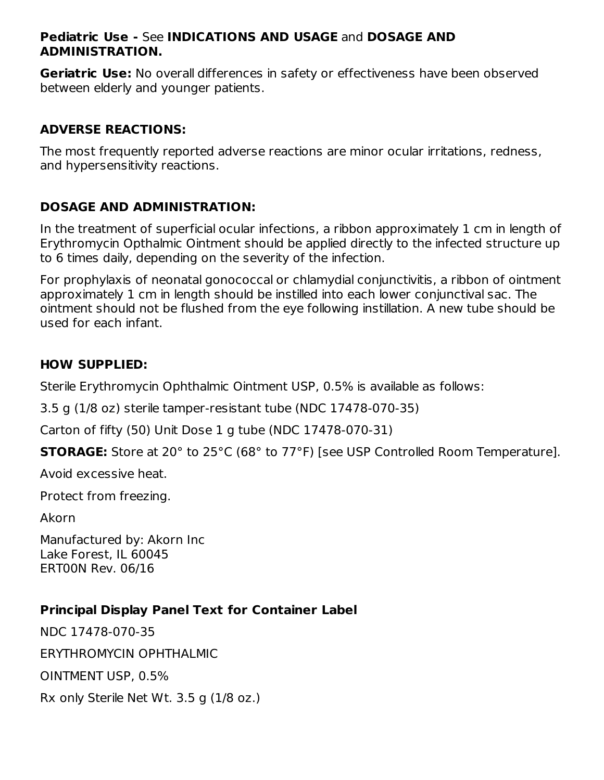#### **Pediatric Use -** See **INDICATIONS AND USAGE** and **DOSAGE AND ADMINISTRATION.**

**Geriatric Use:** No overall differences in safety or effectiveness have been observed between elderly and younger patients.

## **ADVERSE REACTIONS:**

The most frequently reported adverse reactions are minor ocular irritations, redness, and hypersensitivity reactions.

# **DOSAGE AND ADMINISTRATION:**

In the treatment of superficial ocular infections, a ribbon approximately 1 cm in length of Erythromycin Opthalmic Ointment should be applied directly to the infected structure up to 6 times daily, depending on the severity of the infection.

For prophylaxis of neonatal gonococcal or chlamydial conjunctivitis, a ribbon of ointment approximately 1 cm in length should be instilled into each lower conjunctival sac. The ointment should not be flushed from the eye following instillation. A new tube should be used for each infant.

#### **HOW SUPPLIED:**

Sterile Erythromycin Ophthalmic Ointment USP, 0.5% is available as follows:

3.5 g (1/8 oz) sterile tamper-resistant tube (NDC 17478-070-35)

Carton of fifty (50) Unit Dose 1 g tube (NDC 17478-070-31)

**STORAGE:** Store at 20° to 25°C (68° to 77°F) [see USP Controlled Room Temperature].

Avoid excessive heat.

Protect from freezing.

Akorn

Manufactured by: Akorn Inc Lake Forest, IL 60045 ERT00N Rev. 06/16

#### **Principal Display Panel Text for Container Label**

NDC 17478-070-35 ERYTHROMYCIN OPHTHALMIC OINTMENT USP, 0.5% Rx only Sterile Net Wt. 3.5 g (1/8 oz.)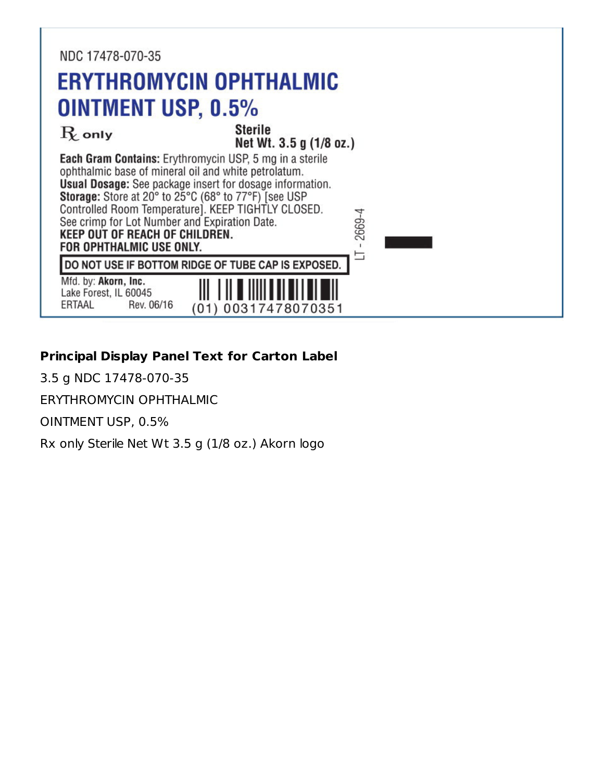

# **Principal Display Panel Text for Carton Label**

3.5 g NDC 17478-070-35

ERYTHROMYCIN OPHTHALMIC

OINTMENT USP, 0.5%

Rx only Sterile Net Wt 3.5 g (1/8 oz.) Akorn logo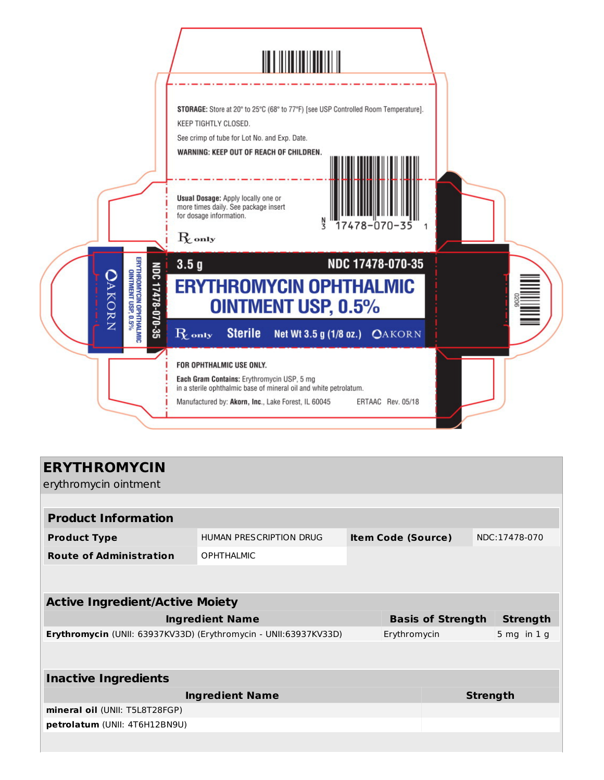

| <b>ERYTHROMYCIN</b>                                              |                         |                           |                          |  |                 |                 |
|------------------------------------------------------------------|-------------------------|---------------------------|--------------------------|--|-----------------|-----------------|
| erythromycin ointment                                            |                         |                           |                          |  |                 |                 |
|                                                                  |                         |                           |                          |  |                 |                 |
| <b>Product Information</b>                                       |                         |                           |                          |  |                 |                 |
| <b>Product Type</b>                                              | HUMAN PRESCRIPTION DRUG | <b>Item Code (Source)</b> |                          |  | NDC:17478-070   |                 |
| <b>Route of Administration</b>                                   | <b>OPHTHALMIC</b>       |                           |                          |  |                 |                 |
|                                                                  |                         |                           |                          |  |                 |                 |
|                                                                  |                         |                           |                          |  |                 |                 |
| <b>Active Ingredient/Active Moiety</b>                           |                         |                           |                          |  |                 |                 |
| <b>Ingredient Name</b>                                           |                         |                           | <b>Basis of Strength</b> |  |                 | <b>Strength</b> |
| Erythromycin (UNII: 63937KV33D) (Erythromycin - UNII:63937KV33D) |                         | Erythromycin              |                          |  | $5$ mg in $1$ g |                 |
|                                                                  |                         |                           |                          |  |                 |                 |
|                                                                  |                         |                           |                          |  |                 |                 |
| <b>Inactive Ingredients</b>                                      |                         |                           |                          |  |                 |                 |
| <b>Ingredient Name</b>                                           |                         |                           | <b>Strength</b>          |  |                 |                 |
| mineral oil (UNII: T5L8T28FGP)                                   |                         |                           |                          |  |                 |                 |
| petrolatum (UNII: 4T6H12BN9U)                                    |                         |                           |                          |  |                 |                 |
|                                                                  |                         |                           |                          |  |                 |                 |